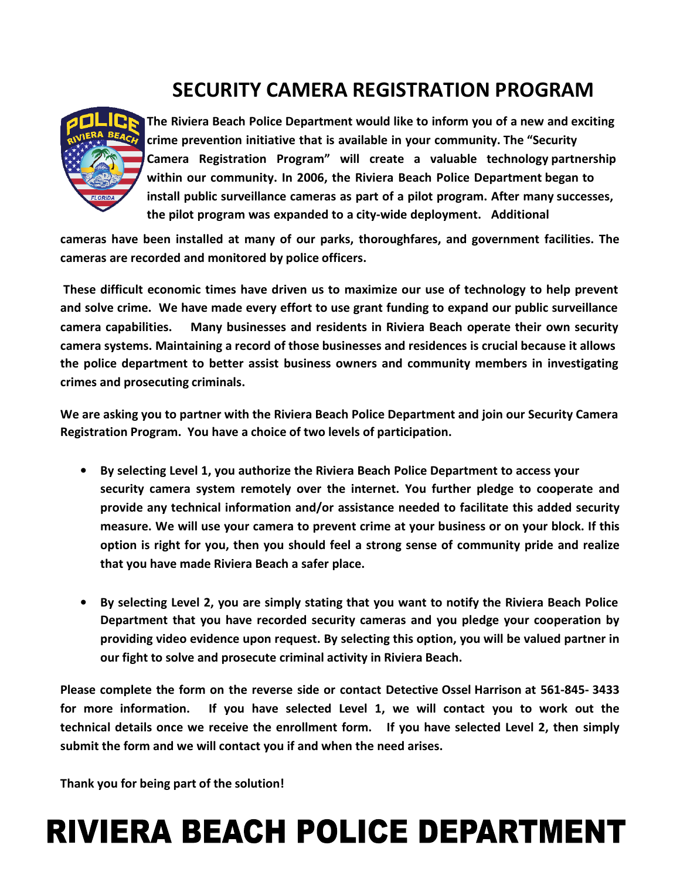## **SECURITY CAMERA REGISTRATION PROGRAM**



**The Riviera Beach Police Department would like to inform you of a new and exciting crime prevention initiative that is available in your community. The "Security Camera Registration Program" will create a valuable technology partnership within our community. In 2006, the Riviera Beach Police Department began to install public surveillance cameras as part of a pilot program. After many successes, the pilot program was expanded to a city-wide deployment. Additional** 

**cameras have been installed at many of our parks, thoroughfares, and government facilities. The cameras are recorded and monitored by police officers.**

**These difficult economic times have driven us to maximize our use of technology to help prevent and solve crime. We have made every effort to use grant funding to expand our public surveillance camera capabilities. Many businesses and residents in Riviera Beach operate their own security camera systems. Maintaining a record of those businesses and residences is crucial because it allows the police department to better assist business owners and community members in investigating crimes and prosecuting criminals.**

**We are asking you to partner with the Riviera Beach Police Department and join our Security Camera Registration Program. You have a choice of two levels of participation.**

- **By selecting Level 1, you authorize the Riviera Beach Police Department to access your security camera system remotely over the internet. You further pledge to cooperate and provide any technical information and/or assistance needed to facilitate this added security measure. We will use your camera to prevent crime at your business or on your block. If this option is right for you, then you should feel a strong sense of community pride and realize that you have made Riviera Beach a safer place.**
- **By selecting Level 2, you are simply stating that you want to notify the Riviera Beach Police Department that you have recorded security cameras and you pledge your cooperation by providing video evidence upon request. By selecting this option, you will be valued partner in our fight to solve and prosecute criminal activity in Riviera Beach.**

**Please complete the form on the reverse side or contact Detective Ossel Harrison at 561-845- 3433 for more information. If you have selected Level 1, we will contact you to work out the technical details once we receive the enrollment form. If you have selected Level 2, then simply submit the form and we will contact you if and when the need arises.** 

**Thank you for being part of the solution!**

## **RIVIERA BEACH** POLICE DEPARTMENT